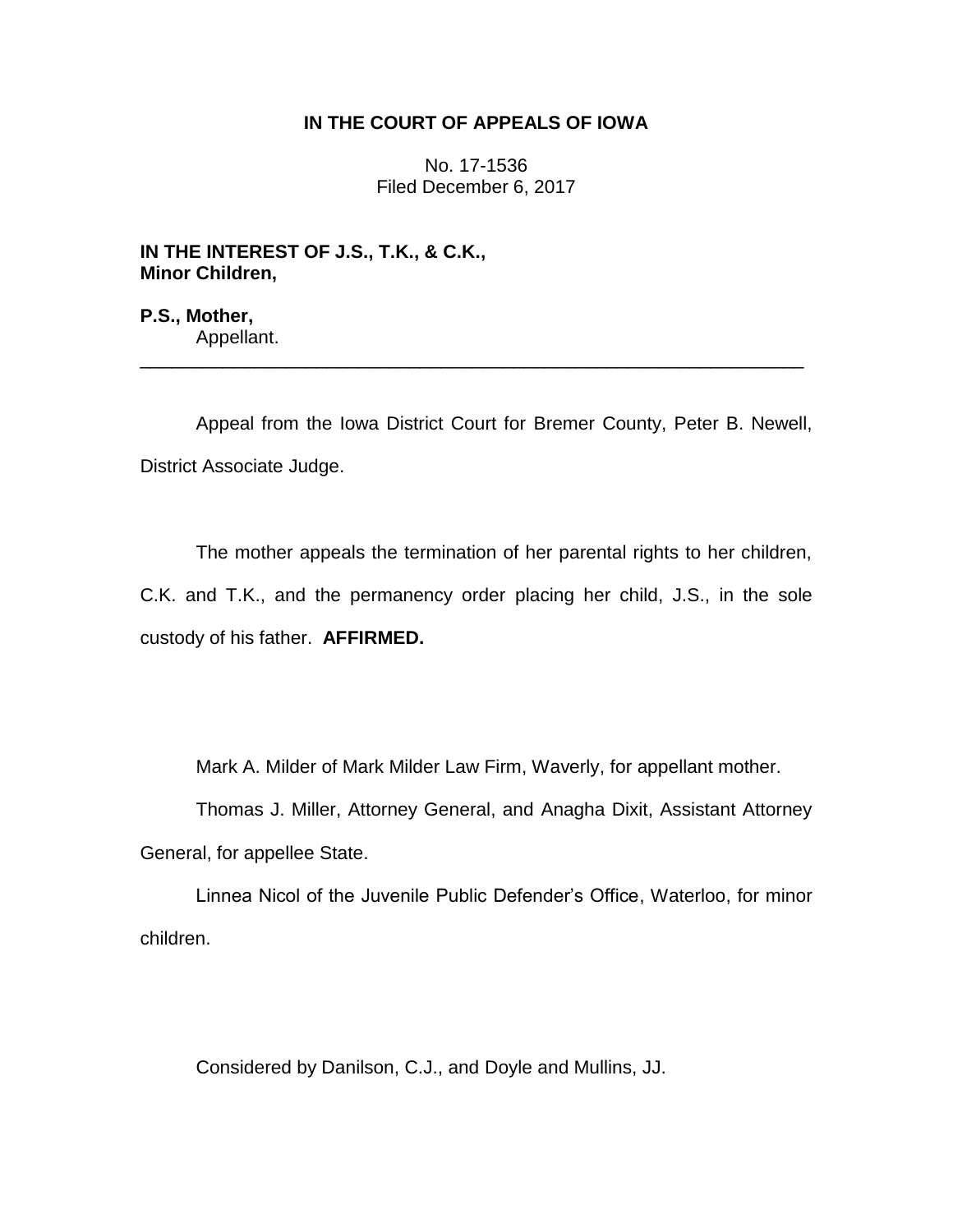# **IN THE COURT OF APPEALS OF IOWA**

No. 17-1536 Filed December 6, 2017

**IN THE INTEREST OF J.S., T.K., & C.K., Minor Children,**

**P.S., Mother,** Appellant.

Appeal from the Iowa District Court for Bremer County, Peter B. Newell, District Associate Judge.

\_\_\_\_\_\_\_\_\_\_\_\_\_\_\_\_\_\_\_\_\_\_\_\_\_\_\_\_\_\_\_\_\_\_\_\_\_\_\_\_\_\_\_\_\_\_\_\_\_\_\_\_\_\_\_\_\_\_\_\_\_\_\_\_

The mother appeals the termination of her parental rights to her children, C.K. and T.K., and the permanency order placing her child, J.S., in the sole custody of his father. **AFFIRMED.**

Mark A. Milder of Mark Milder Law Firm, Waverly, for appellant mother.

Thomas J. Miller, Attorney General, and Anagha Dixit, Assistant Attorney General, for appellee State.

Linnea Nicol of the Juvenile Public Defender's Office, Waterloo, for minor children.

Considered by Danilson, C.J., and Doyle and Mullins, JJ.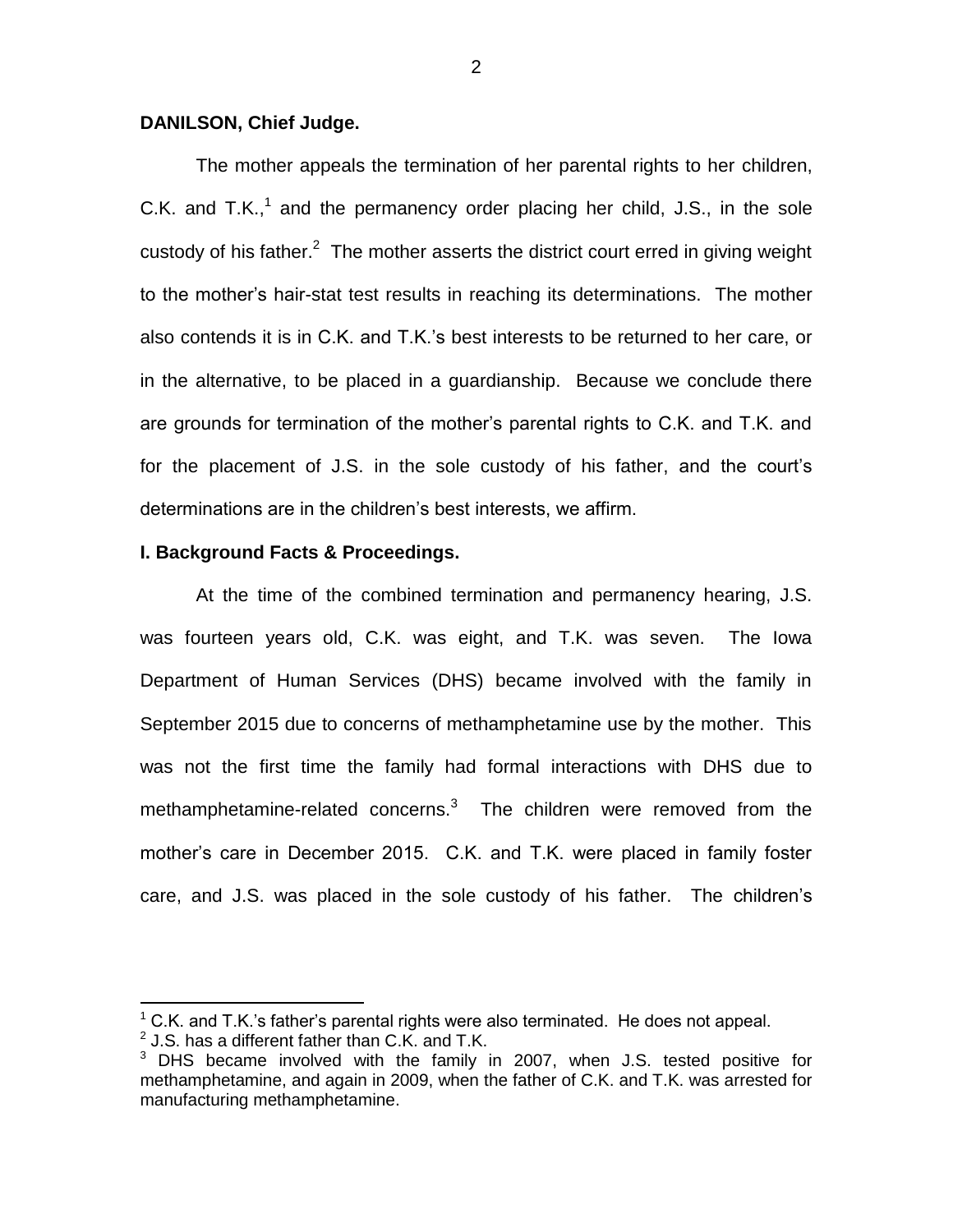## **DANILSON, Chief Judge.**

The mother appeals the termination of her parental rights to her children, C.K. and T.K.,<sup>1</sup> and the permanency order placing her child, J.S., in the sole custody of his father. $2$  The mother asserts the district court erred in giving weight to the mother's hair-stat test results in reaching its determinations. The mother also contends it is in C.K. and T.K.'s best interests to be returned to her care, or in the alternative, to be placed in a guardianship. Because we conclude there are grounds for termination of the mother's parental rights to C.K. and T.K. and for the placement of J.S. in the sole custody of his father, and the court's determinations are in the children's best interests, we affirm.

### **I. Background Facts & Proceedings.**

At the time of the combined termination and permanency hearing, J.S. was fourteen years old, C.K. was eight, and T.K. was seven. The Iowa Department of Human Services (DHS) became involved with the family in September 2015 due to concerns of methamphetamine use by the mother. This was not the first time the family had formal interactions with DHS due to methamphetamine-related concerns. $3$  The children were removed from the mother's care in December 2015. C.K. and T.K. were placed in family foster care, and J.S. was placed in the sole custody of his father. The children's

 $\overline{a}$ 

 $1^{\circ}$  C.K. and T.K.'s father's parental rights were also terminated. He does not appeal.

 $^{2}$  J.S. has a different father than C.K. and T.K.

 $3$  DHS became involved with the family in 2007, when J.S. tested positive for methamphetamine, and again in 2009, when the father of C.K. and T.K. was arrested for manufacturing methamphetamine.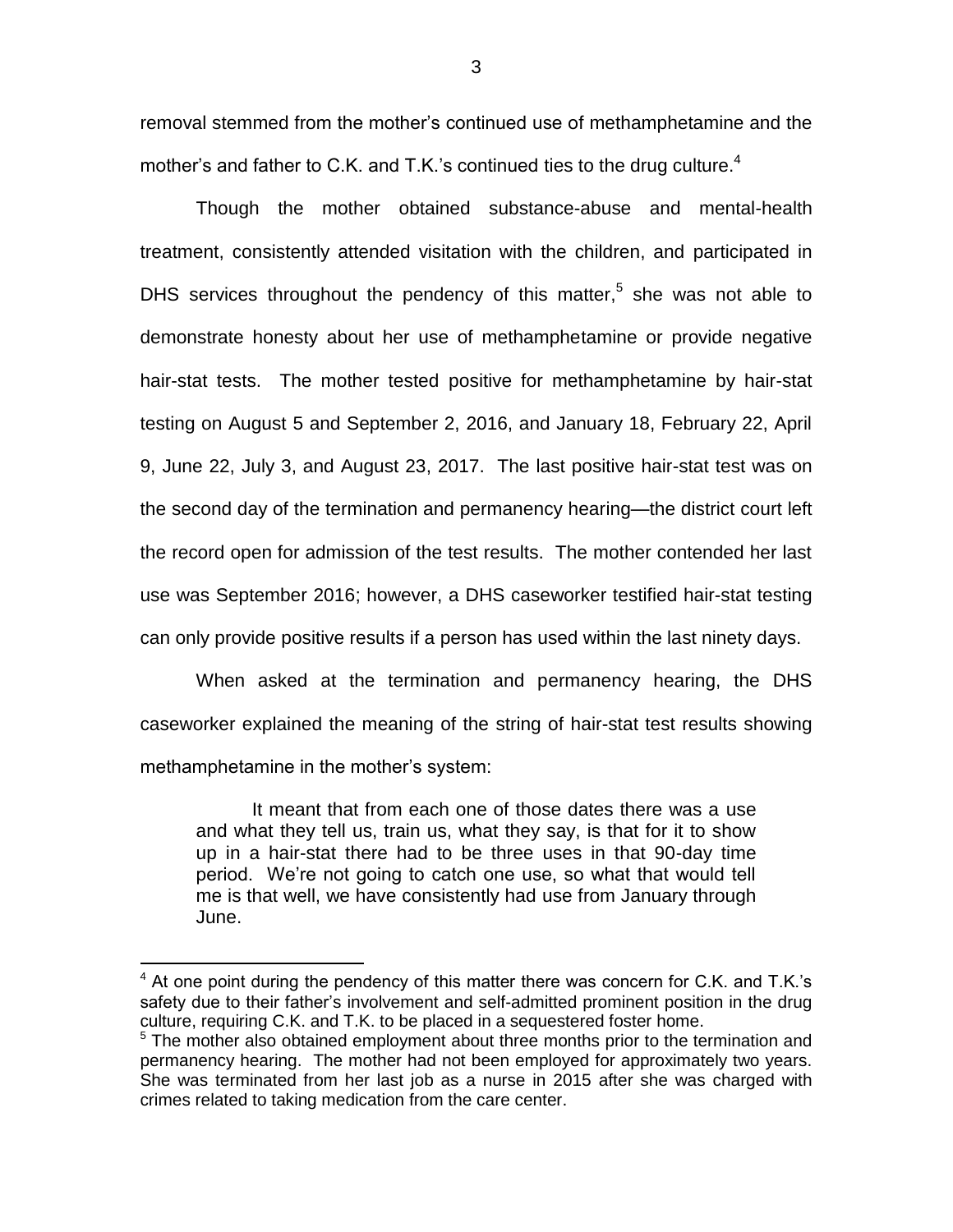removal stemmed from the mother's continued use of methamphetamine and the mother's and father to C.K. and T.K.'s continued ties to the drug culture.<sup>4</sup>

Though the mother obtained substance-abuse and mental-health treatment, consistently attended visitation with the children, and participated in DHS services throughout the pendency of this matter,<sup>5</sup> she was not able to demonstrate honesty about her use of methamphetamine or provide negative hair-stat tests. The mother tested positive for methamphetamine by hair-stat testing on August 5 and September 2, 2016, and January 18, February 22, April 9, June 22, July 3, and August 23, 2017. The last positive hair-stat test was on the second day of the termination and permanency hearing—the district court left the record open for admission of the test results. The mother contended her last use was September 2016; however, a DHS caseworker testified hair-stat testing can only provide positive results if a person has used within the last ninety days.

When asked at the termination and permanency hearing, the DHS caseworker explained the meaning of the string of hair-stat test results showing methamphetamine in the mother's system:

It meant that from each one of those dates there was a use and what they tell us, train us, what they say, is that for it to show up in a hair-stat there had to be three uses in that 90-day time period. We're not going to catch one use, so what that would tell me is that well, we have consistently had use from January through June.

 $\overline{a}$ 

 $4$  At one point during the pendency of this matter there was concern for C.K. and T.K.'s safety due to their father's involvement and self-admitted prominent position in the drug culture, requiring C.K. and T.K. to be placed in a sequestered foster home.

<sup>&</sup>lt;sup>5</sup> The mother also obtained employment about three months prior to the termination and permanency hearing. The mother had not been employed for approximately two years. She was terminated from her last job as a nurse in 2015 after she was charged with crimes related to taking medication from the care center.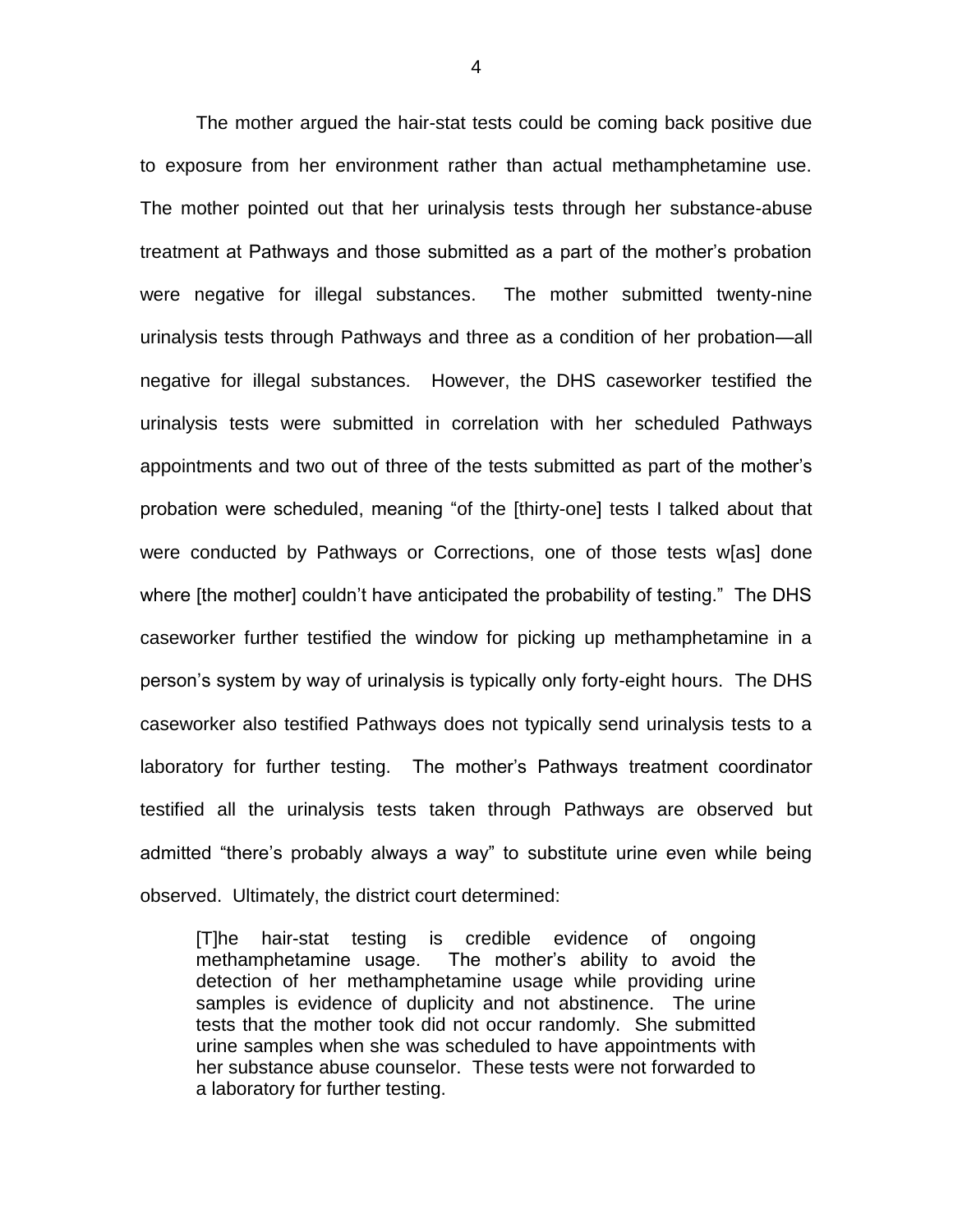The mother argued the hair-stat tests could be coming back positive due to exposure from her environment rather than actual methamphetamine use. The mother pointed out that her urinalysis tests through her substance-abuse treatment at Pathways and those submitted as a part of the mother's probation were negative for illegal substances. The mother submitted twenty-nine urinalysis tests through Pathways and three as a condition of her probation—all negative for illegal substances. However, the DHS caseworker testified the urinalysis tests were submitted in correlation with her scheduled Pathways appointments and two out of three of the tests submitted as part of the mother's probation were scheduled, meaning "of the [thirty-one] tests I talked about that were conducted by Pathways or Corrections, one of those tests w[as] done where [the mother] couldn't have anticipated the probability of testing." The DHS caseworker further testified the window for picking up methamphetamine in a person's system by way of urinalysis is typically only forty-eight hours. The DHS caseworker also testified Pathways does not typically send urinalysis tests to a laboratory for further testing. The mother's Pathways treatment coordinator testified all the urinalysis tests taken through Pathways are observed but admitted "there's probably always a way" to substitute urine even while being observed. Ultimately, the district court determined:

[T]he hair-stat testing is credible evidence of ongoing methamphetamine usage. The mother's ability to avoid the detection of her methamphetamine usage while providing urine samples is evidence of duplicity and not abstinence. The urine tests that the mother took did not occur randomly. She submitted urine samples when she was scheduled to have appointments with her substance abuse counselor. These tests were not forwarded to a laboratory for further testing.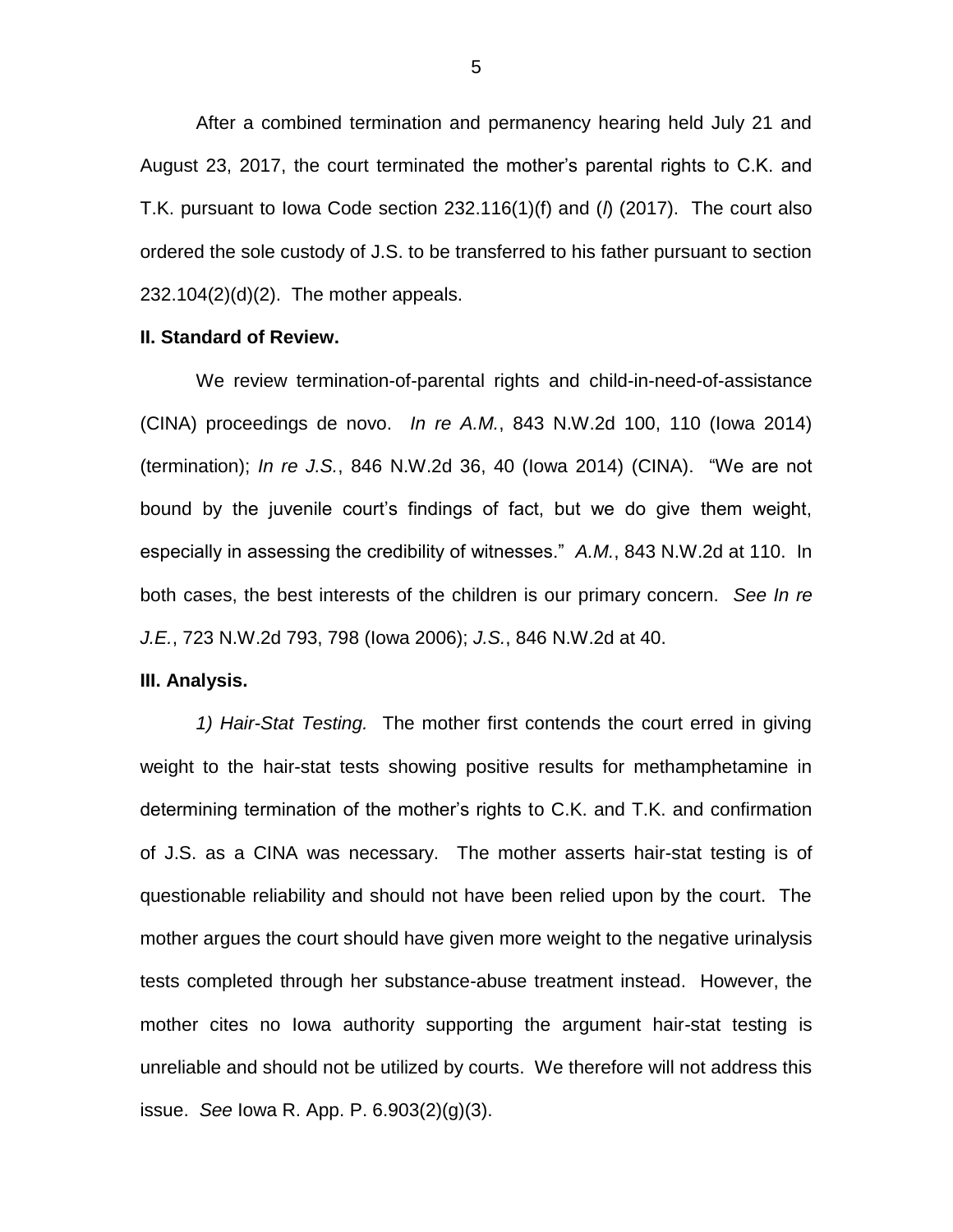After a combined termination and permanency hearing held July 21 and August 23, 2017, the court terminated the mother's parental rights to C.K. and T.K. pursuant to Iowa Code section 232.116(1)(f) and (*l*) (2017). The court also ordered the sole custody of J.S. to be transferred to his father pursuant to section 232.104(2)(d)(2). The mother appeals.

#### **II. Standard of Review.**

We review termination-of-parental rights and child-in-need-of-assistance (CINA) proceedings de novo. *In re A.M.*, 843 N.W.2d 100, 110 (Iowa 2014) (termination); *In re J.S.*, 846 N.W.2d 36, 40 (Iowa 2014) (CINA). "We are not bound by the juvenile court's findings of fact, but we do give them weight, especially in assessing the credibility of witnesses." *A.M.*, 843 N.W.2d at 110. In both cases, the best interests of the children is our primary concern. *See In re J.E.*, 723 N.W.2d 793, 798 (Iowa 2006); *J.S.*, 846 N.W.2d at 40.

#### **III. Analysis.**

*1) Hair-Stat Testing.* The mother first contends the court erred in giving weight to the hair-stat tests showing positive results for methamphetamine in determining termination of the mother's rights to C.K. and T.K. and confirmation of J.S. as a CINA was necessary. The mother asserts hair-stat testing is of questionable reliability and should not have been relied upon by the court. The mother argues the court should have given more weight to the negative urinalysis tests completed through her substance-abuse treatment instead. However, the mother cites no Iowa authority supporting the argument hair-stat testing is unreliable and should not be utilized by courts. We therefore will not address this issue. *See* Iowa R. App. P. 6.903(2)(g)(3).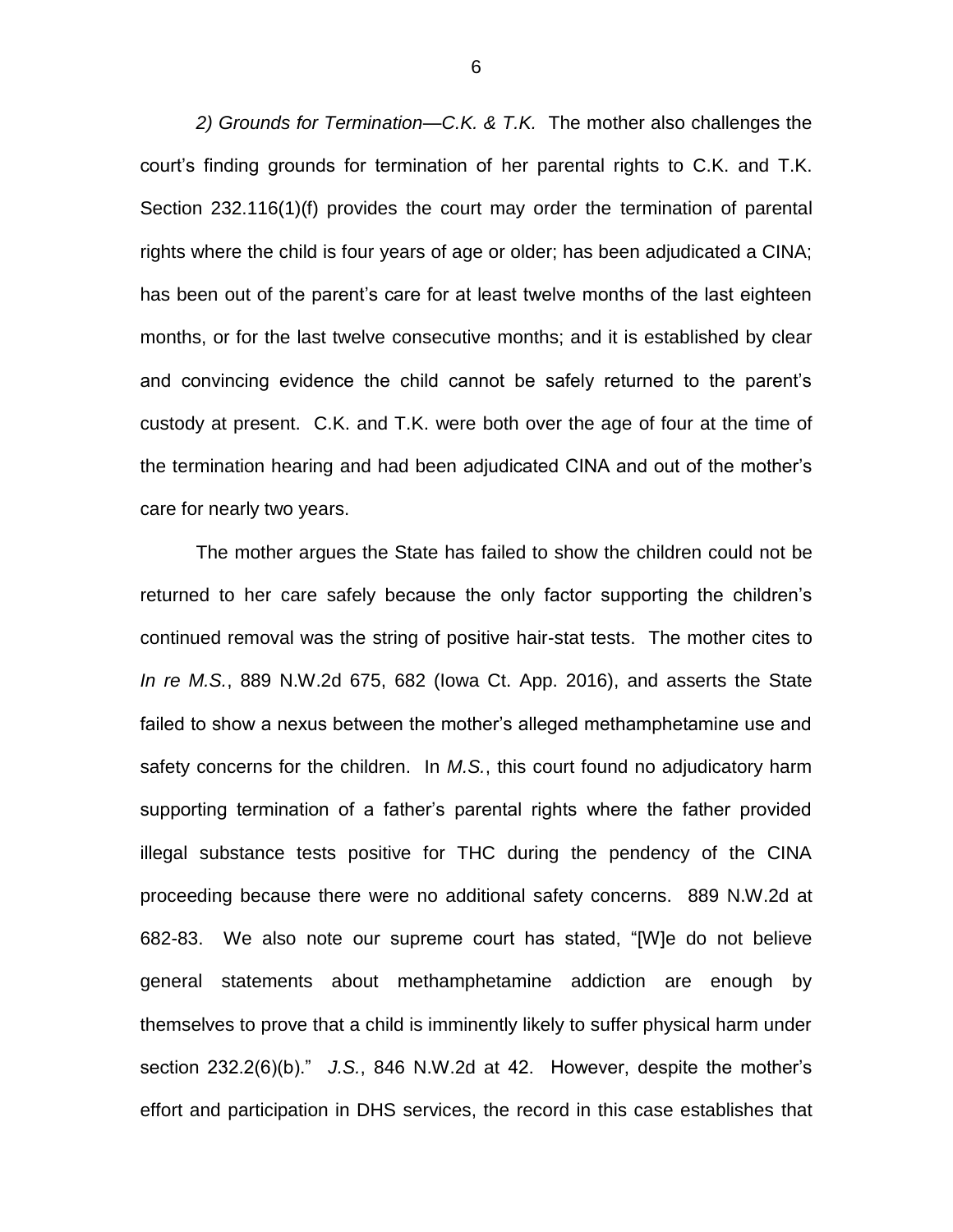*2) Grounds for Termination—C.K. & T.K.* The mother also challenges the court's finding grounds for termination of her parental rights to C.K. and T.K. Section 232.116(1)(f) provides the court may order the termination of parental rights where the child is four years of age or older; has been adjudicated a CINA; has been out of the parent's care for at least twelve months of the last eighteen months, or for the last twelve consecutive months; and it is established by clear and convincing evidence the child cannot be safely returned to the parent's custody at present. C.K. and T.K. were both over the age of four at the time of the termination hearing and had been adjudicated CINA and out of the mother's care for nearly two years.

The mother argues the State has failed to show the children could not be returned to her care safely because the only factor supporting the children's continued removal was the string of positive hair-stat tests. The mother cites to *In re M.S.*, 889 N.W.2d 675, 682 (Iowa Ct. App. 2016), and asserts the State failed to show a nexus between the mother's alleged methamphetamine use and safety concerns for the children. In *M.S.*, this court found no adjudicatory harm supporting termination of a father's parental rights where the father provided illegal substance tests positive for THC during the pendency of the CINA proceeding because there were no additional safety concerns. 889 N.W.2d at 682-83. We also note our supreme court has stated, "[W]e do not believe general statements about methamphetamine addiction are enough by themselves to prove that a child is imminently likely to suffer physical harm under section 232.2(6)(b)." *J.S.*, 846 N.W.2d at 42. However, despite the mother's effort and participation in DHS services, the record in this case establishes that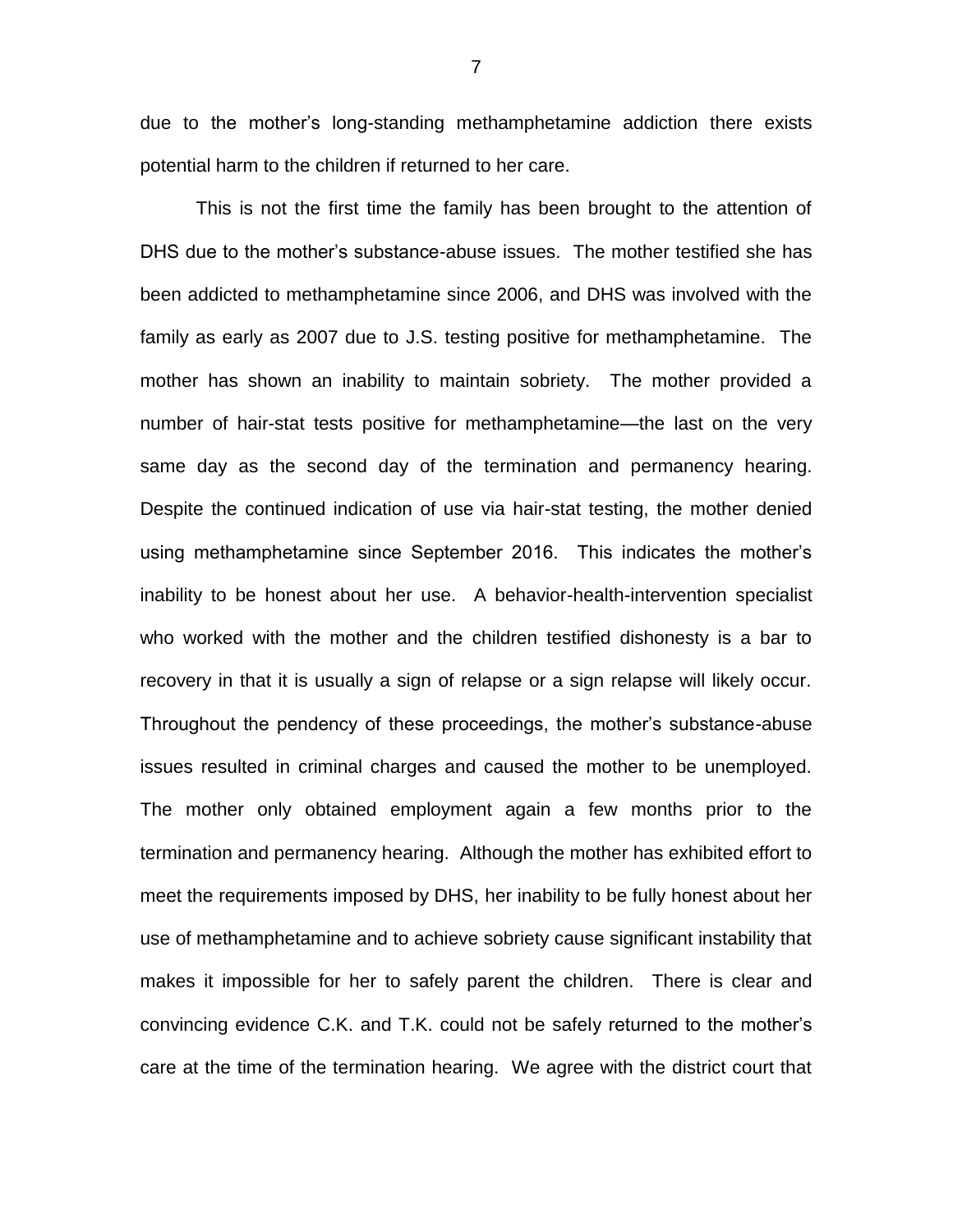due to the mother's long-standing methamphetamine addiction there exists potential harm to the children if returned to her care.

This is not the first time the family has been brought to the attention of DHS due to the mother's substance-abuse issues. The mother testified she has been addicted to methamphetamine since 2006, and DHS was involved with the family as early as 2007 due to J.S. testing positive for methamphetamine. The mother has shown an inability to maintain sobriety. The mother provided a number of hair-stat tests positive for methamphetamine—the last on the very same day as the second day of the termination and permanency hearing. Despite the continued indication of use via hair-stat testing, the mother denied using methamphetamine since September 2016. This indicates the mother's inability to be honest about her use. A behavior-health-intervention specialist who worked with the mother and the children testified dishonesty is a bar to recovery in that it is usually a sign of relapse or a sign relapse will likely occur. Throughout the pendency of these proceedings, the mother's substance-abuse issues resulted in criminal charges and caused the mother to be unemployed. The mother only obtained employment again a few months prior to the termination and permanency hearing. Although the mother has exhibited effort to meet the requirements imposed by DHS, her inability to be fully honest about her use of methamphetamine and to achieve sobriety cause significant instability that makes it impossible for her to safely parent the children. There is clear and convincing evidence C.K. and T.K. could not be safely returned to the mother's care at the time of the termination hearing. We agree with the district court that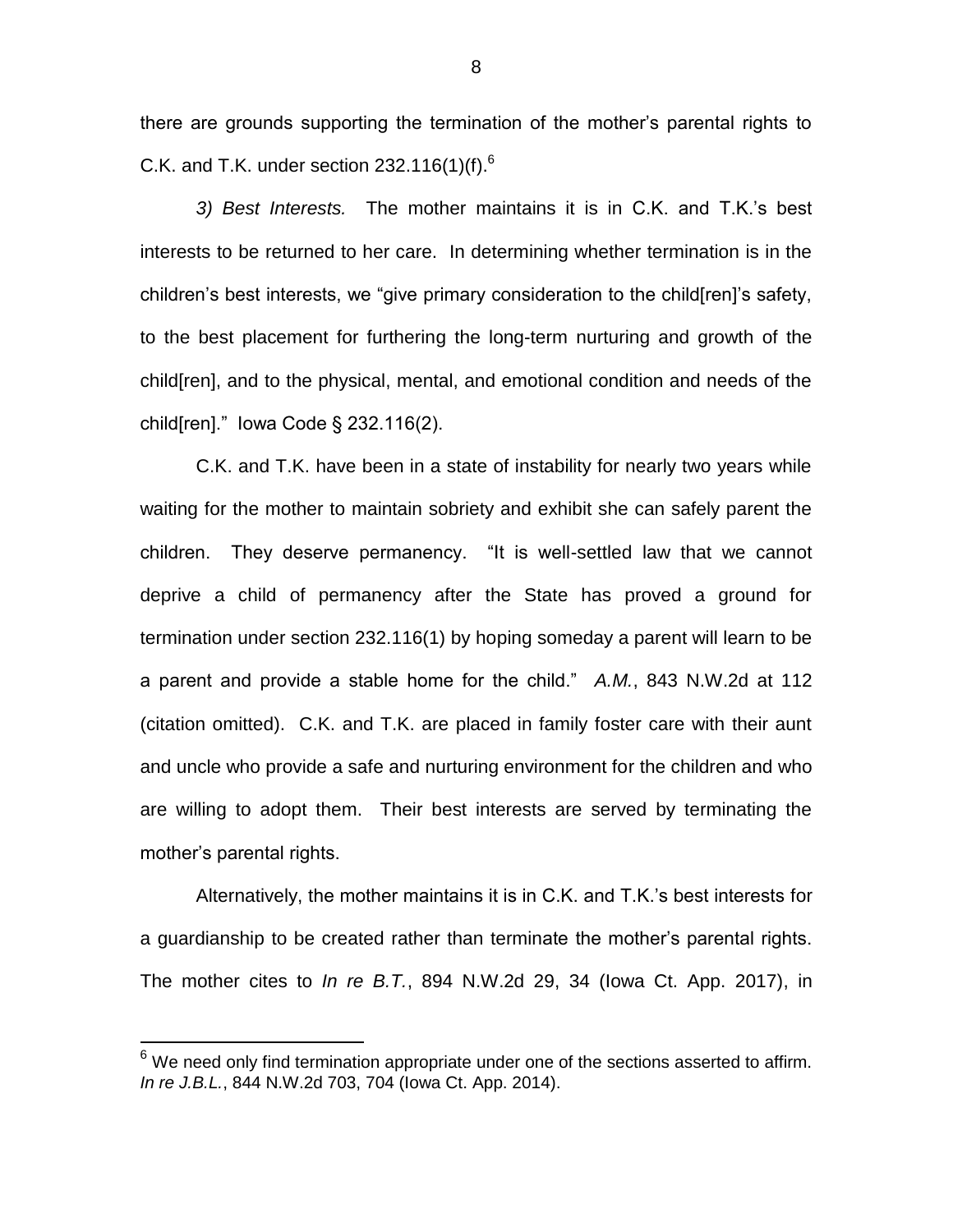there are grounds supporting the termination of the mother's parental rights to C.K. and T.K. under section  $232.116(1)(f)^6$ .

*3) Best Interests.* The mother maintains it is in C.K. and T.K.'s best interests to be returned to her care. In determining whether termination is in the children's best interests, we "give primary consideration to the child[ren]'s safety, to the best placement for furthering the long-term nurturing and growth of the child[ren], and to the physical, mental, and emotional condition and needs of the child[ren]." Iowa Code § 232.116(2).

C.K. and T.K. have been in a state of instability for nearly two years while waiting for the mother to maintain sobriety and exhibit she can safely parent the children. They deserve permanency. "It is well-settled law that we cannot deprive a child of permanency after the State has proved a ground for termination under section 232.116(1) by hoping someday a parent will learn to be a parent and provide a stable home for the child." *A.M.*, 843 N.W.2d at 112 (citation omitted). C.K. and T.K. are placed in family foster care with their aunt and uncle who provide a safe and nurturing environment for the children and who are willing to adopt them. Their best interests are served by terminating the mother's parental rights.

Alternatively, the mother maintains it is in C.K. and T.K.'s best interests for a guardianship to be created rather than terminate the mother's parental rights. The mother cites to *In re B.T.*, 894 N.W.2d 29, 34 (Iowa Ct. App. 2017), in

 $\overline{a}$ 

 $6$  We need only find termination appropriate under one of the sections asserted to affirm. *In re J.B.L.*, 844 N.W.2d 703, 704 (Iowa Ct. App. 2014).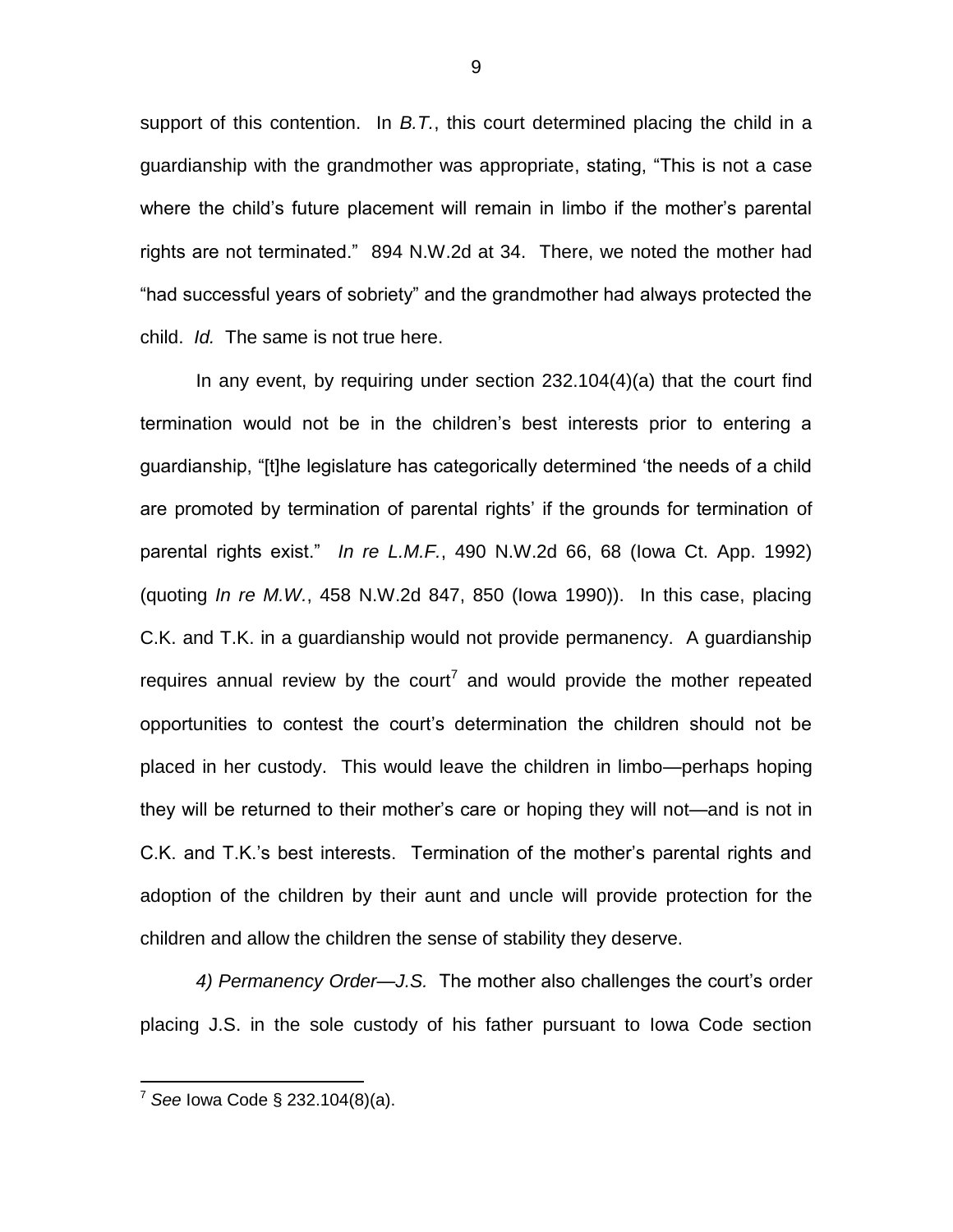support of this contention. In *B.T.*, this court determined placing the child in a guardianship with the grandmother was appropriate, stating, "This is not a case where the child's future placement will remain in limbo if the mother's parental rights are not terminated." 894 N.W.2d at 34. There, we noted the mother had "had successful years of sobriety" and the grandmother had always protected the child. *Id.* The same is not true here.

In any event, by requiring under section 232.104(4)(a) that the court find termination would not be in the children's best interests prior to entering a guardianship, "[t]he legislature has categorically determined 'the needs of a child are promoted by termination of parental rights' if the grounds for termination of parental rights exist." *In re L.M.F.*, 490 N.W.2d 66, 68 (Iowa Ct. App. 1992) (quoting *In re M.W.*, 458 N.W.2d 847, 850 (Iowa 1990)). In this case, placing C.K. and T.K. in a guardianship would not provide permanency. A guardianship requires annual review by the court<sup>7</sup> and would provide the mother repeated opportunities to contest the court's determination the children should not be placed in her custody. This would leave the children in limbo—perhaps hoping they will be returned to their mother's care or hoping they will not—and is not in C.K. and T.K.'s best interests. Termination of the mother's parental rights and adoption of the children by their aunt and uncle will provide protection for the children and allow the children the sense of stability they deserve.

*4) Permanency Order—J.S.* The mother also challenges the court's order placing J.S. in the sole custody of his father pursuant to Iowa Code section

 $\overline{a}$ 

<sup>7</sup> *See* Iowa Code § 232.104(8)(a).